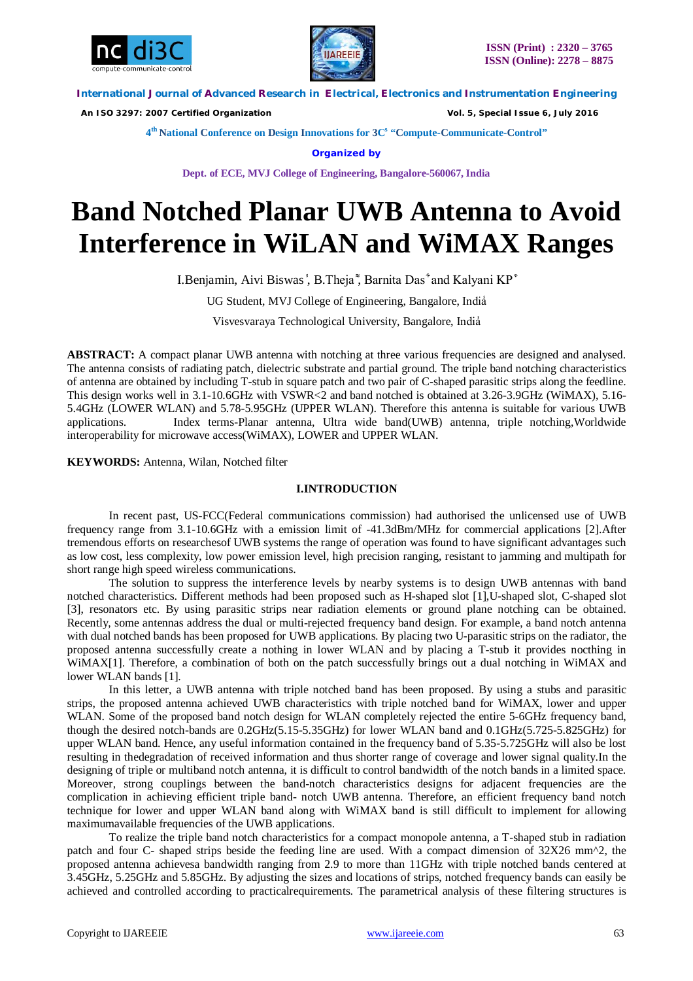



 *An ISO 3297: 2007 Certified Organization Vol. 5, Special Issue 6, July 2016*

**4 th National Conference on Design Innovations for 3C s "Compute-Communicate-Control"** 

**Organized by**

**Dept. of ECE, MVJ College of Engineering, Bangalore-560067, India**

# **Band Notched Planar UWB Antenna to Avoid Interference in WiLAN and WiMAX Ranges**

I.Benjamin, Aivi Biswas<sup>'</sup>, B.Theja<sup>\*</sup>, Barnita Das<sup>\*</sup> and Kalyani KP<sup>\*</sup>

UG Student, MVJ College of Engineering, Bangalore, India

Visvesvaraya Technological University, Bangalore, India̾

ABSTRACT: A compact planar UWB antenna with notching at three various frequencies are designed and analysed. The antenna consists of radiating patch, dielectric substrate and partial ground. The triple band notching characteristics of antenna are obtained by including T-stub in square patch and two pair of C-shaped parasitic strips along the feedline. This design works well in 3.1-10.6GHz with VSWR<2 and band notched is obtained at 3.26-3.9GHz (WiMAX), 5.16- 5.4GHz (LOWER WLAN) and 5.78-5.95GHz (UPPER WLAN). Therefore this antenna is suitable for various UWB applications. Index terms-Planar antenna, Ultra wide band(UWB) antenna, triple notching,Worldwide interoperability for microwave access(WiMAX), LOWER and UPPER WLAN.

**KEYWORDS:** Antenna, Wilan, Notched filter

## **I.INTRODUCTION**

In recent past, US-FCC(Federal communications commission) had authorised the unlicensed use of UWB frequency range from 3.1-10.6GHz with a emission limit of -41.3dBm/MHz for commercial applications [2].After tremendous efforts on researchesof UWB systems the range of operation was found to have significant advantages such as low cost, less complexity, low power emission level, high precision ranging, resistant to jamming and multipath for short range high speed wireless communications.

The solution to suppress the interference levels by nearby systems is to design UWB antennas with band notched characteristics. Different methods had been proposed such as H-shaped slot [1],U-shaped slot, C-shaped slot [3], resonators etc. By using parasitic strips near radiation elements or ground plane notching can be obtained. Recently, some antennas address the dual or multi-rejected frequency band design. For example, a band notch antenna with dual notched bands has been proposed for UWB applications. By placing two U-parasitic strips on the radiator, the proposed antenna successfully create a nothing in lower WLAN and by placing a T-stub it provides nocthing in WiMAX[1]. Therefore, a combination of both on the patch successfully brings out a dual notching in WiMAX and lower WLAN bands [1].

In this letter, a UWB antenna with triple notched band has been proposed. By using a stubs and parasitic strips, the proposed antenna achieved UWB characteristics with triple notched band for WiMAX, lower and upper WLAN. Some of the proposed band notch design for WLAN completely rejected the entire 5-6GHz frequency band, though the desired notch-bands are 0.2GHz(5.15-5.35GHz) for lower WLAN band and 0.1GHz(5.725-5.825GHz) for upper WLAN band. Hence, any useful information contained in the frequency band of 5.35-5.725GHz will also be lost resulting in thedegradation of received information and thus shorter range of coverage and lower signal quality.In the designing of triple or multiband notch antenna, it is difficult to control bandwidth of the notch bands in a limited space. Moreover, strong couplings between the band-notch characteristics designs for adjacent frequencies are the complication in achieving efficient triple band- notch UWB antenna. Therefore, an efficient frequency band notch technique for lower and upper WLAN band along with WiMAX band is still difficult to implement for allowing maximumavailable frequencies of the UWB applications.

To realize the triple band notch characteristics for a compact monopole antenna, a T-shaped stub in radiation patch and four C- shaped strips beside the feeding line are used. With a compact dimension of 32X26 mm^2, the proposed antenna achievesa bandwidth ranging from 2.9 to more than 11GHz with triple notched bands centered at 3.45GHz, 5.25GHz and 5.85GHz. By adjusting the sizes and locations of strips, notched frequency bands can easily be achieved and controlled according to practicalrequirements. The parametrical analysis of these filtering structures is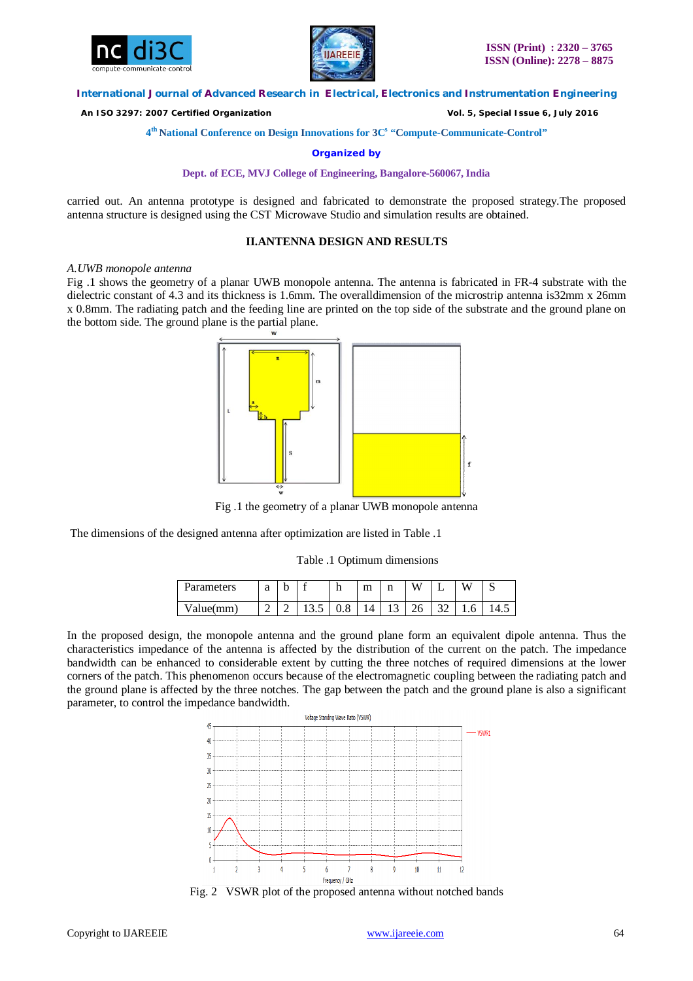



 *An ISO 3297: 2007 Certified Organization Vol. 5, Special Issue 6, July 2016*

**4 th National Conference on Design Innovations for 3C s "Compute-Communicate-Control"** 

**Organized by**

**Dept. of ECE, MVJ College of Engineering, Bangalore-560067, India**

carried out. An antenna prototype is designed and fabricated to demonstrate the proposed strategy.The proposed antenna structure is designed using the CST Microwave Studio and simulation results are obtained.

## **II.ANTENNA DESIGN AND RESULTS**

#### *A.UWB monopole antenna*

Fig .1 shows the geometry of a planar UWB monopole antenna. The antenna is fabricated in FR-4 substrate with the dielectric constant of 4.3 and its thickness is 1.6mm. The overalldimension of the microstrip antenna is32mm x 26mm x 0.8mm. The radiating patch and the feeding line are printed on the top side of the substrate and the ground plane on the bottom side. The ground plane is the partial plane.



Fig .1 the geometry of a planar UWB monopole antenna

The dimensions of the designed antenna after optimization are listed in Table .1

Table .1 Optimum dimensions

| 'arameters   | a | b |        |     | m | ×.<br>$\cdots$  | <b>TT</b><br>w   |               | $ -$<br>vν  | ັ  |
|--------------|---|---|--------|-----|---|-----------------|------------------|---------------|-------------|----|
| 'alue(<br>mm | - |   | 1 J .J | v.v |   | $\sqrt{2}$<br>∸ | $\sim$<br>∸<br>ີ | $\sim$<br>سەر | 'n<br><br>◡ | ு. |

In the proposed design, the monopole antenna and the ground plane form an equivalent dipole antenna. Thus the characteristics impedance of the antenna is affected by the distribution of the current on the patch. The impedance bandwidth can be enhanced to considerable extent by cutting the three notches of required dimensions at the lower corners of the patch. This phenomenon occurs because of the electromagnetic coupling between the radiating patch and the ground plane is affected by the three notches. The gap between the patch and the ground plane is also a significant parameter, to control the impedance bandwidth.



Fig. 2 VSWR plot of the proposed antenna without notched bands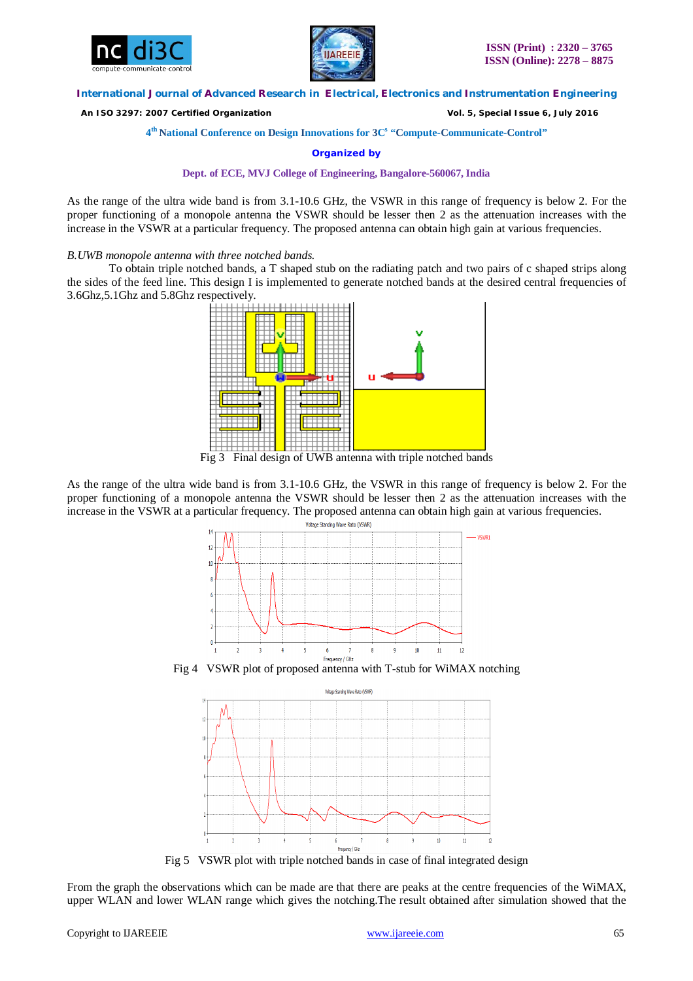



 *An ISO 3297: 2007 Certified Organization Vol. 5, Special Issue 6, July 2016*

## **4 th National Conference on Design Innovations for 3C s "Compute-Communicate-Control"**

**Organized by**

## **Dept. of ECE, MVJ College of Engineering, Bangalore-560067, India**

As the range of the ultra wide band is from 3.1-10.6 GHz, the VSWR in this range of frequency is below 2. For the proper functioning of a monopole antenna the VSWR should be lesser then 2 as the attenuation increases with the increase in the VSWR at a particular frequency. The proposed antenna can obtain high gain at various frequencies.

#### *B.UWB monopole antenna with three notched bands.*

To obtain triple notched bands, a T shaped stub on the radiating patch and two pairs of c shaped strips along the sides of the feed line. This design I is implemented to generate notched bands at the desired central frequencies of 3.6Ghz,5.1Ghz and 5.8Ghz respectively.



Fig 3 Final design of UWB antenna with triple notched bands

As the range of the ultra wide band is from 3.1-10.6 GHz, the VSWR in this range of frequency is below 2. For the proper functioning of a monopole antenna the VSWR should be lesser then 2 as the attenuation increases with the increase in the VSWR at a particular frequency. The proposed antenna can obtain high gain at various frequencies.



Fig 4 VSWR plot of proposed antenna with T-stub for WiMAX notching



Fig 5 VSWR plot with triple notched bands in case of final integrated design

From the graph the observations which can be made are that there are peaks at the centre frequencies of the WiMAX, upper WLAN and lower WLAN range which gives the notching.The result obtained after simulation showed that the